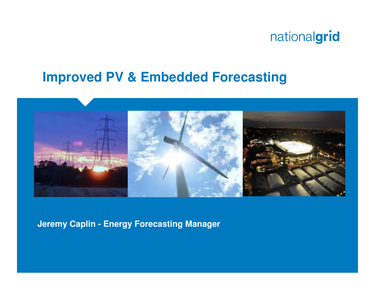### **Improved PV & Embedded Forecasting**



**Jeremy Caplin - Energy Forecasting Manager**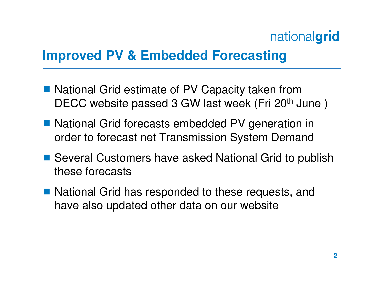### **Improved PV & Embedded Forecasting**

- National Grid estimate of PV Capacity taken from<br>DECC wobsite passed 3 GW last wook (Fri 20th Ju DECC website passed 3 GW last week (Fri 20<sup>th</sup> June)
- National Grid forecasts embedded PV generation in<br>
order to forecast not Transmission System Demand order to forecast net Transmission System Demand
- Several Customers have asked National Grid to publish<br>those forecasts these forecasts
- National Grid has responded to these requests, and<br>have also undated other data on our website have also updated other data on our website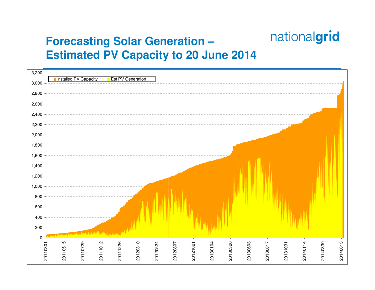#### **Forecasting Solar Generation –Estimated PV Capacity to 20 June 2014**

| 3,200       |          |                       |                      |                   |          |          |          |          |          |          |          |          |          |          |          |
|-------------|----------|-----------------------|----------------------|-------------------|----------|----------|----------|----------|----------|----------|----------|----------|----------|----------|----------|
| 3,000       |          | Installed PV Capacity |                      | Est PV Generation |          |          |          |          |          |          |          |          |          |          |          |
| 2,800       |          |                       |                      |                   |          |          |          |          |          |          |          |          |          |          |          |
| 2,600       |          |                       |                      |                   |          |          |          |          |          |          |          |          |          |          |          |
| 2,400       |          |                       |                      |                   |          |          |          |          |          |          |          |          |          |          |          |
| 2,200       |          |                       |                      |                   |          |          |          |          |          |          |          |          |          |          |          |
| 2,000       |          |                       |                      |                   |          |          |          |          |          |          |          |          |          |          |          |
| 1,800       |          |                       |                      |                   |          |          |          |          |          |          |          |          |          |          |          |
| 1,600       |          |                       |                      |                   |          |          |          |          |          |          |          |          |          |          |          |
| 1,400       |          |                       |                      |                   |          |          |          |          |          |          |          |          |          |          |          |
| 1,200       |          |                       |                      |                   |          |          |          |          |          |          |          |          |          |          |          |
| 1,000       |          |                       |                      |                   |          |          |          |          |          |          |          |          |          |          |          |
| 800         |          |                       |                      |                   |          |          |          |          |          |          |          |          |          |          |          |
| 600         |          |                       |                      |                   |          |          |          |          |          |          |          |          |          |          |          |
| 400         |          |                       |                      |                   |          |          |          |          |          |          |          |          |          |          |          |
| $200\,$     |          |                       |                      |                   |          |          |          |          |          |          |          |          |          |          |          |
| $\mathbf 0$ |          |                       |                      |                   |          |          |          |          |          |          |          |          |          |          |          |
| 20110301    | 20110515 | 20110729              | 20111226<br>20111012 | 20120310          | 20120524 | 20120807 | 20121021 | 20130104 | 20130320 | 20130603 |          | 20131031 | 20140114 | 20140330 | 20140613 |
|             |          |                       |                      |                   |          |          |          |          |          |          | 20130817 |          |          |          |          |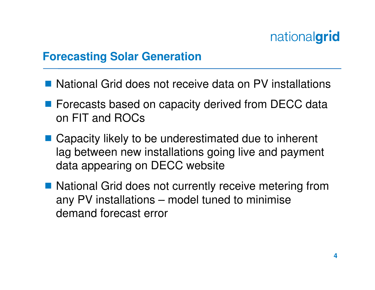- National Grid does not receive data on PV installations
- Forecasts based on capacity derived from DECC data on FIT and ROCs
- Capacity likely to be underestimated due to inherent<br>lag between now installations going live and naymon lag between new installations going live and payment data appearing on DECC website
- National Grid does not currently receive metering from<br>any PV installations unodel tuped to minimise any PV installations – model tuned to minimise demand forecast error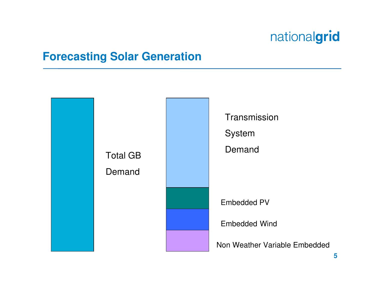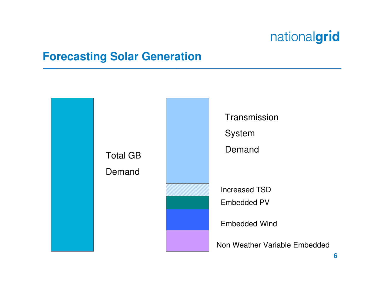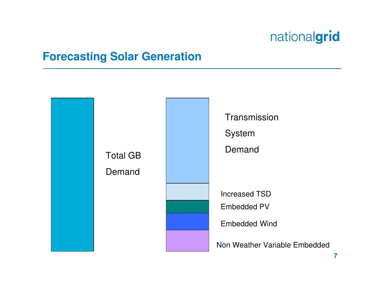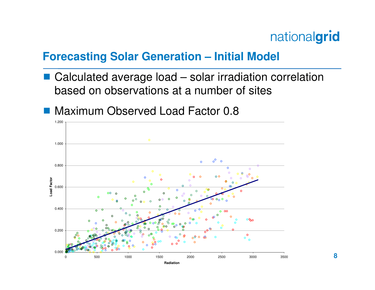#### **Forecasting Solar Generation – Initial Model**

- Calculated average load solar irradiation correlation based on observations at a number of sites
- **Maximum Observed Load Factor 0.8**

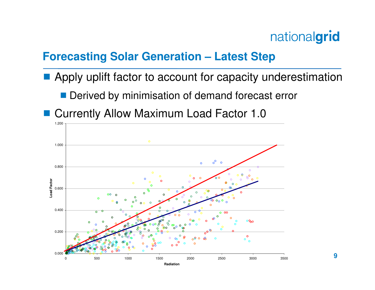#### **Forecasting Solar Generation – Latest Step**

- Apply uplift factor to account for capacity underestimation
	- Derived by minimisation of demand forecast error
- **Currently Allow Maximum Load Factor 1.0**

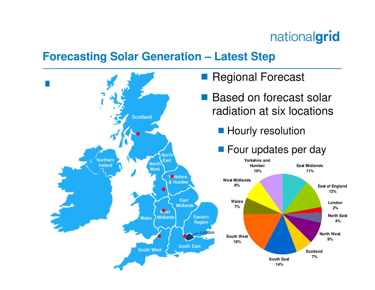#### **Forecasting Solar Generation – Latest Step**

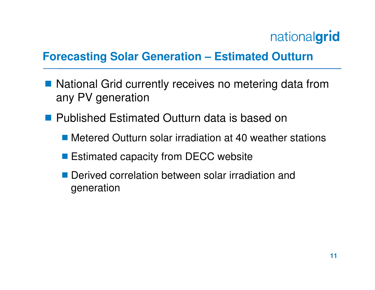#### **Forecasting Solar Generation – Estimated Outturn**

- National Grid currently receives no metering data from any PV generation
- **Published Estimated Outturn data is based on** 
	- Metered Outturn solar irradiation at 40 weather stations
	- Estimated capacity from DECC website
	- Derived correlation between solar irradiation and generation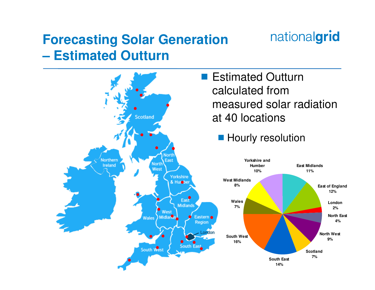#### **Forecasting Solar Generation – Estimated Outturn**



nationalgrid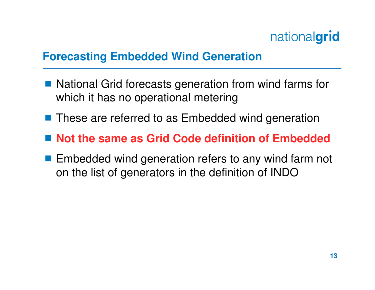#### **Forecasting Embedded Wind Generation**

- National Grid forecasts generation from wind farms for<br>which it has no operational metering which it has no operational metering
- **These are referred to as Embedded wind generation**
- Not the same as Grid Code definition of Embedded
- **Embedded wind generation refers to any wind farm not**<br>en the list of generators in the definition of INDO on the list of generators in the definition of INDO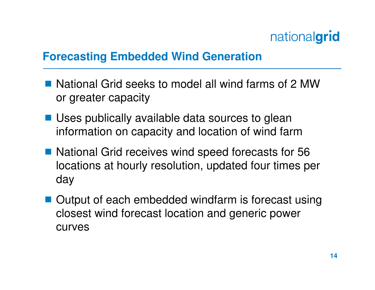#### **Forecasting Embedded Wind Generation**

- National Grid seeks to model all wind farms of 2 MW or greater capacity
- Uses publically available data sources to glean<br>information on capacity and location of wind farm information on capacity and location of wind farm
- National Grid receives wind speed forecasts for 56 locations at hourly resolution, updated four times per day
- Output of each embedded windfarm is forecast using<br>closest wind forecast lecation and generic power closest wind forecast location and generic power curves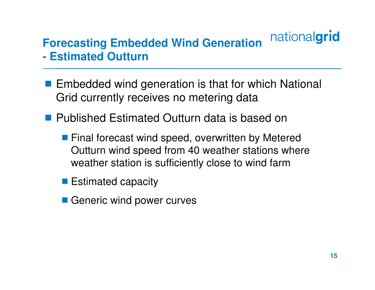#### nationalgrid **Forecasting Embedded Wind Generation Estimated Outturn-**

- **Embedded wind generation is that for which National**<br>Grid currently recoives no motoring data Grid currently receives no metering data
- **Published Estimated Outturn data is based on** 
	- **Final forecast wind speed, overwritten by Metered** Outturn wind speed from 40 weather stations where weather station is sufficiently close to wind farm
	- **Estimated capacity**
	- Generic wind power curves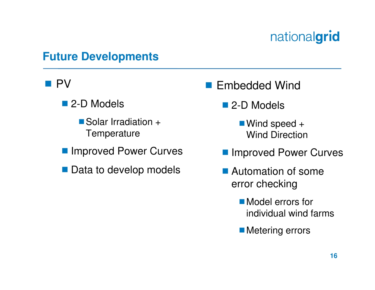#### **Future Developments**

# $\blacksquare$  PV

- 2-D Models
	- Solar Irradiation + **Temperature**
- **Improved Power Curves**
- Data to develop models
- Embedded Wind
	- 2-D Models
		- ■Wind speed + Wind Direction
	- **Improved Power Curves**
	- **Automation of some** error checking
		- **Model errors for** individual wind farms
		- **Metering errors**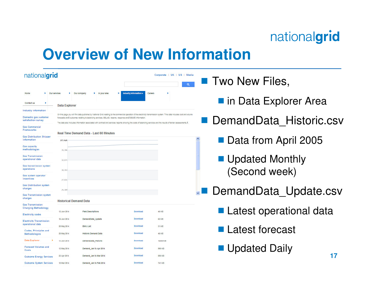### **Overview of New Information**

| nationalgrid                                                                                          |                                         |                                                                                                                                                                                                                                                                                                                                                                                                                                                            |                                               | Corporate   UK   US   Media<br>$\alpha$ | <b>T</b> Two New Files,   |
|-------------------------------------------------------------------------------------------------------|-----------------------------------------|------------------------------------------------------------------------------------------------------------------------------------------------------------------------------------------------------------------------------------------------------------------------------------------------------------------------------------------------------------------------------------------------------------------------------------------------------------|-----------------------------------------------|-----------------------------------------|---------------------------|
| Our saryless<br>Home<br>Contact us                                                                    | Data Explorer                           | Our company<br>In your area                                                                                                                                                                                                                                                                                                                                                                                                                                | Industry Information =<br>Careers<br><b>P</b> |                                         | nin Data Explorer Area    |
| Industry information<br>Domestic gas customer<br>satisfaction survey<br><b>Gas Commercial</b>         |                                         | On this page you will find data published by National Grid relating to the commercial operation of the electricity transmission system. This data includes cost and volume<br>forecasts andA outcomes relating to balancing services, BSUoS, reserve, response andA BSISA information<br>The data also includes information associated with contract and services reports showing the costs of balancing services and the results of tender assessments. A |                                               |                                         | DemandData Historic.csv   |
| <b>Frameworks</b><br><b>Gas Distribution Shipper</b><br>information<br><b>Gas capacity</b>            | 37,918                                  | Real Time Demand Data - Last 60 Minutes                                                                                                                                                                                                                                                                                                                                                                                                                    |                                               |                                         | Data from April 2005      |
| methodologies<br><b>Gas Transmission</b><br>operational data<br>Gas transmission system<br>operations | 35,396<br>32,874<br>30,353              |                                                                                                                                                                                                                                                                                                                                                                                                                                                            |                                               |                                         | <b>Updated Monthly</b>    |
| Gas system operator<br>incentives<br><b>Gas Distribution system</b><br>charges                        | 27,831                                  |                                                                                                                                                                                                                                                                                                                                                                                                                                                            |                                               |                                         | (Second week)             |
| <b>Gas Transmission system</b><br>charges<br><b>Gas Transmission</b>                                  | 25,309<br><b>Historical Demand Data</b> |                                                                                                                                                                                                                                                                                                                                                                                                                                                            |                                               |                                         | DemandData Update.csv     |
| <b>Charging Methodology</b><br><b>Electricity codes</b>                                               | 12 Jun 2014                             | <b>Field Descriptions</b>                                                                                                                                                                                                                                                                                                                                                                                                                                  | Download                                      | <b>46 KB</b>                            | ■ Latest operational data |
| <b>Electricity Transmission</b><br>operational data                                                   | 16 Jun 2014<br>28 May 2014              | DemandData Update<br><b>BMU List</b>                                                                                                                                                                                                                                                                                                                                                                                                                       | Download<br>Download                          | <b>62 KB</b><br>31 KB                   |                           |
| Codes, Principles and<br>Methodologies                                                                | 28 May 2014                             | <b>Historic Demand Data</b>                                                                                                                                                                                                                                                                                                                                                                                                                                | Download                                      | <b>46 KB</b>                            | Latest forecast           |
| Data Explorer<br><b>Forecast Volumes and</b><br>Costs                                                 | 13 Jun 2014<br>12 May 2014              | DemandData_Historic<br>Demand Jan to Apr 2014                                                                                                                                                                                                                                                                                                                                                                                                              | Download<br>Download                          | 16454 KB<br><b>990 KB</b>               | ■ Updated Daily           |
| <b>Outcome Energy Services</b>                                                                        | 22 Apr 2014                             | Demand Jan to Mar 2014                                                                                                                                                                                                                                                                                                                                                                                                                                     | Download                                      | 895 KB                                  | 17                        |
| <b>Outcome System Services</b>                                                                        | 18 Mar 2014                             | Demand Jan to Feb 2014                                                                                                                                                                                                                                                                                                                                                                                                                                     | Download                                      | <b>741 KB</b>                           |                           |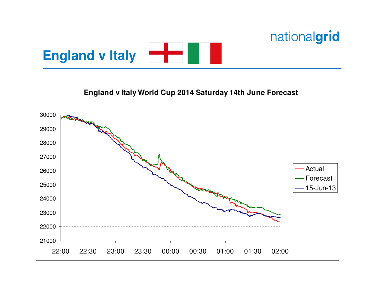



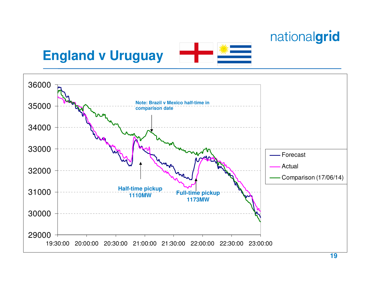**England v Uruguay**